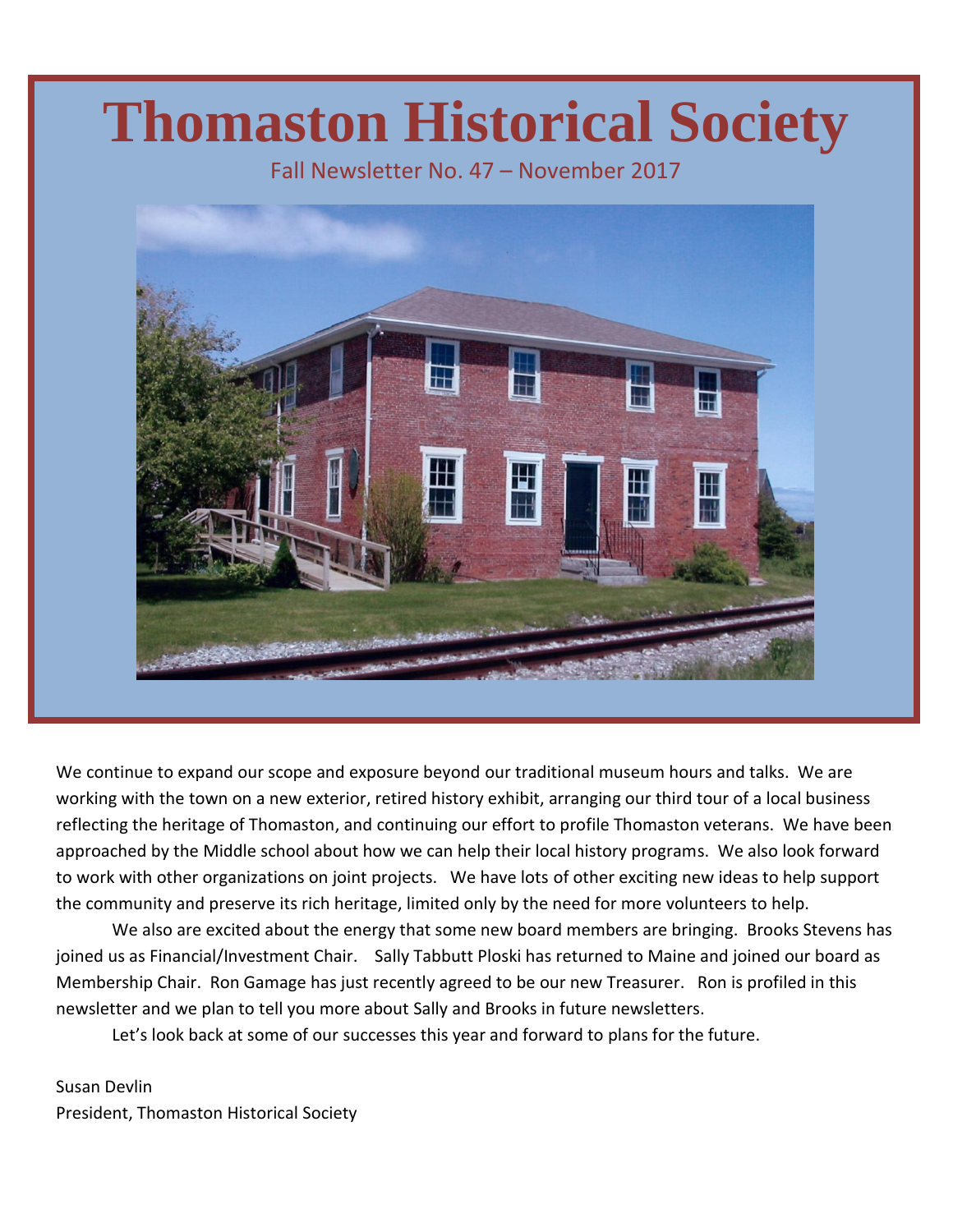# **Thomaston Historical Society**

Fall Newsletter No. 47 – November 2017



We continue to expand our scope and exposure beyond our traditional museum hours and talks. We are working with the town on a new exterior, retired history exhibit, arranging our third tour of a local business reflecting the heritage of Thomaston, and continuing our effort to profile Thomaston veterans. We have been approached by the Middle school about how we can help their local history programs. We also look forward to work with other organizations on joint projects. We have lots of other exciting new ideas to help support the community and preserve its rich heritage, limited only by the need for more volunteers to help.

We also are excited about the energy that some new board members are bringing. Brooks Stevens has joined us as Financial/Investment Chair. Sally Tabbutt Ploski has returned to Maine and joined our board as Membership Chair. Ron Gamage has just recently agreed to be our new Treasurer. Ron is profiled in this newsletter and we plan to tell you more about Sally and Brooks in future newsletters.

Let's look back at some of our successes this year and forward to plans for the future.

Susan Devlin President, Thomaston Historical Society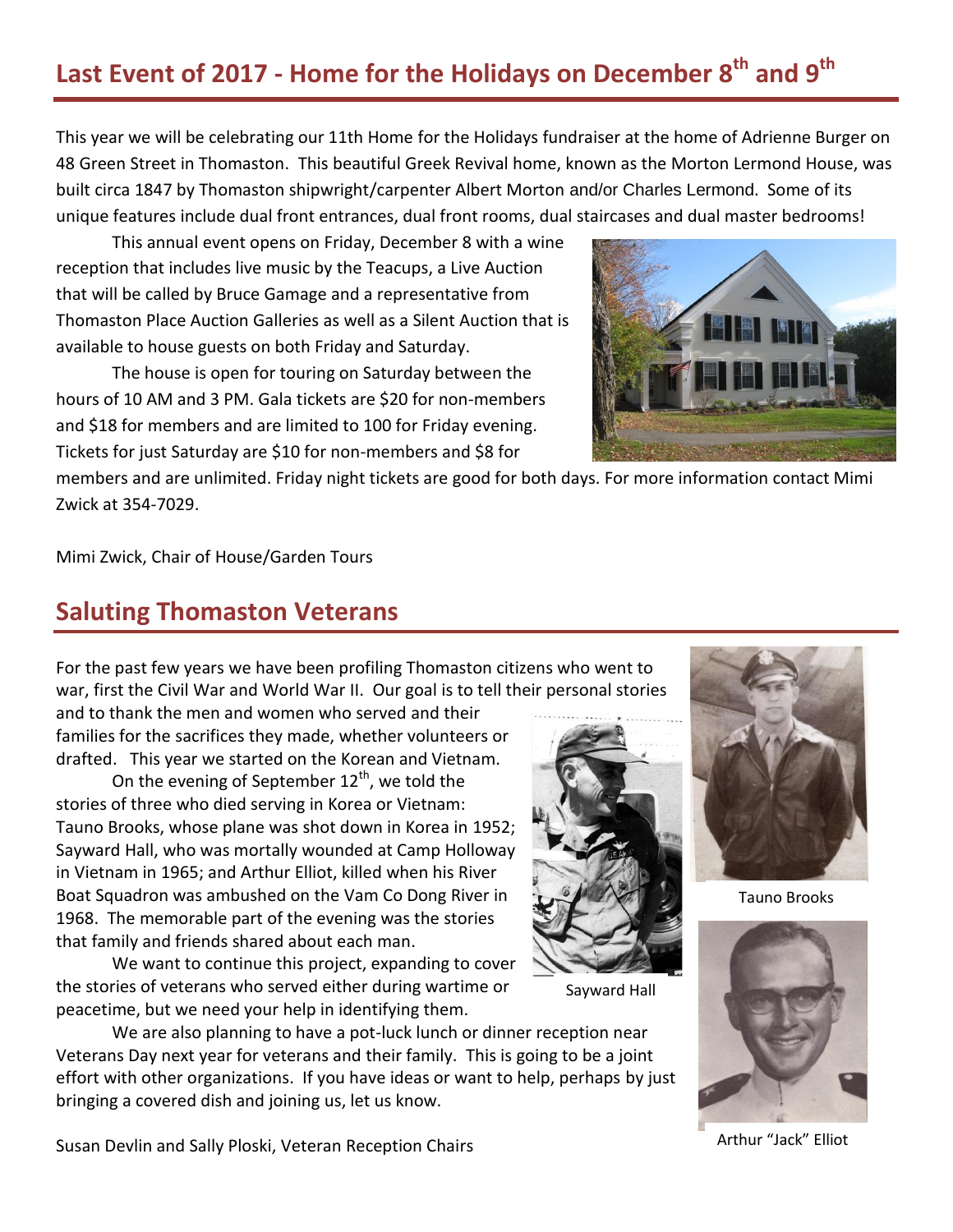# **Last Event of 2017 - Home for the Holidays on December 8th and 9 th**

This year we will be celebrating our 11th Home for the Holidays fundraiser at the home of Adrienne Burger on 48 Green Street in Thomaston. This beautiful Greek Revival home, known as the Morton Lermond House, was built circa 1847 by Thomaston shipwright/carpenter Albert Morton and/or Charles Lermond. Some of its unique features include dual front entrances, dual front rooms, dual staircases and dual master bedrooms!

This annual event opens on Friday, December 8 with a wine reception that includes live music by the Teacups, a Live Auction that will be called by Bruce Gamage and a representative from Thomaston Place Auction Galleries as well as a Silent Auction that is available to house guests on both Friday and Saturday.

The house is open for touring on Saturday between the hours of 10 AM and 3 PM. Gala tickets are \$20 for non-members and \$18 for members and are limited to 100 for Friday evening. Tickets for just Saturday are \$10 for non-members and \$8 for



members and are unlimited. Friday night tickets are good for both days. For more information contact Mimi Zwick at 354-7029.

Mimi Zwick, Chair of House/Garden Tours

#### **Saluting Thomaston Veterans**

For the past few years we have been profiling Thomaston citizens who went to war, first the Civil War and World War II. Our goal is to tell their personal stories

and to thank the men and women who served and their families for the sacrifices they made, whether volunteers or drafted. This year we started on the Korean and Vietnam.

On the evening of September  $12<sup>th</sup>$ , we told the stories of three who died serving in Korea or Vietnam: Tauno Brooks, whose plane was shot down in Korea in 1952; Sayward Hall, who was mortally wounded at Camp Holloway in Vietnam in 1965; and Arthur Elliot, killed when his River Boat Squadron was ambushed on the Vam Co Dong River in 1968. The memorable part of the evening was the stories that family and friends shared about each man.

We want to continue this project, expanding to cover the stories of veterans who served either during wartime or peacetime, but we need your help in identifying them.

We are also planning to have a pot-luck lunch or dinner reception near Veterans Day next year for veterans and their family. This is going to be a joint effort with other organizations. If you have ideas or want to help, perhaps by just bringing a covered dish and joining us, let us know.



Sayward Hall



Tauno Brooks



Arthur "Jack" Elliot

Susan Devlin and Sally Ploski, Veteran Reception Chairs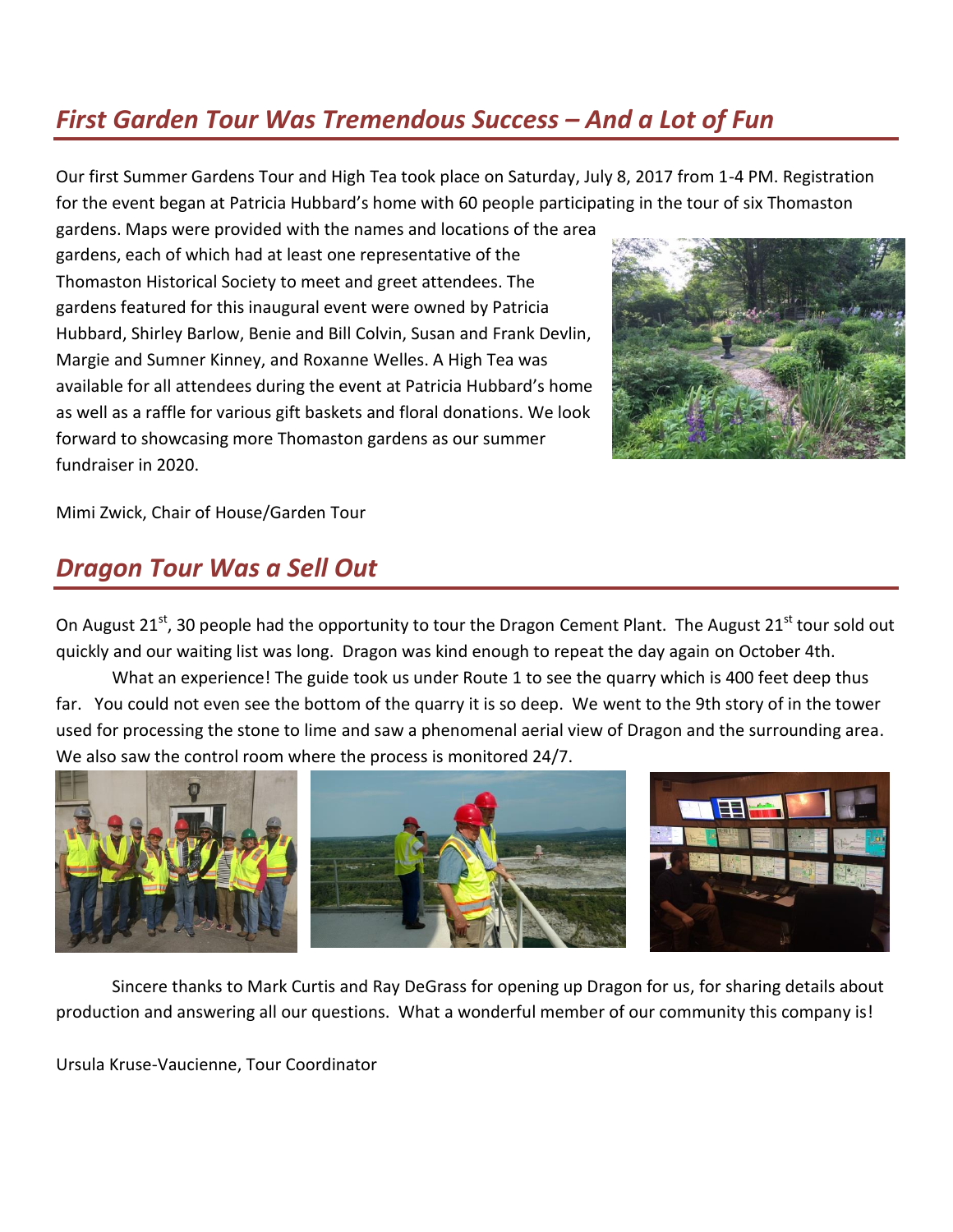## *First Garden Tour Was Tremendous Success – And a Lot of Fun*

Our first Summer Gardens Tour and High Tea took place on Saturday, July 8, 2017 from 1-4 PM. Registration for the event began at Patricia Hubbard's home with 60 people participating in the tour of six Thomaston

gardens. Maps were provided with the names and locations of the area gardens, each of which had at least one representative of the Thomaston Historical Society to meet and greet attendees. The gardens featured for this inaugural event were owned by Patricia Hubbard, Shirley Barlow, Benie and Bill Colvin, Susan and Frank Devlin, Margie and Sumner Kinney, and Roxanne Welles. A High Tea was available for all attendees during the event at Patricia Hubbard's home as well as a raffle for various gift baskets and floral donations. We look forward to showcasing more Thomaston gardens as our summer fundraiser in 2020.



Mimi Zwick, Chair of House/Garden Tour

### *Dragon Tour Was a Sell Out*

On August 21<sup>st</sup>, 30 people had the opportunity to tour the Dragon Cement Plant. The August 21<sup>st</sup> tour sold out quickly and our waiting list was long. Dragon was kind enough to repeat the day again on October 4th.

What an experience! The guide took us under Route 1 to see the quarry which is 400 feet deep thus far. You could not even see the bottom of the quarry it is so deep. We went to the 9th story of in the tower used for processing the stone to lime and saw a phenomenal aerial view of Dragon and the surrounding area. We also saw the control room where the process is monitored 24/7.



Sincere thanks to Mark Curtis and Ray DeGrass for opening up Dragon for us, for sharing details about production and answering all our questions. What a wonderful member of our community this company is!

Ursula Kruse-Vaucienne, Tour Coordinator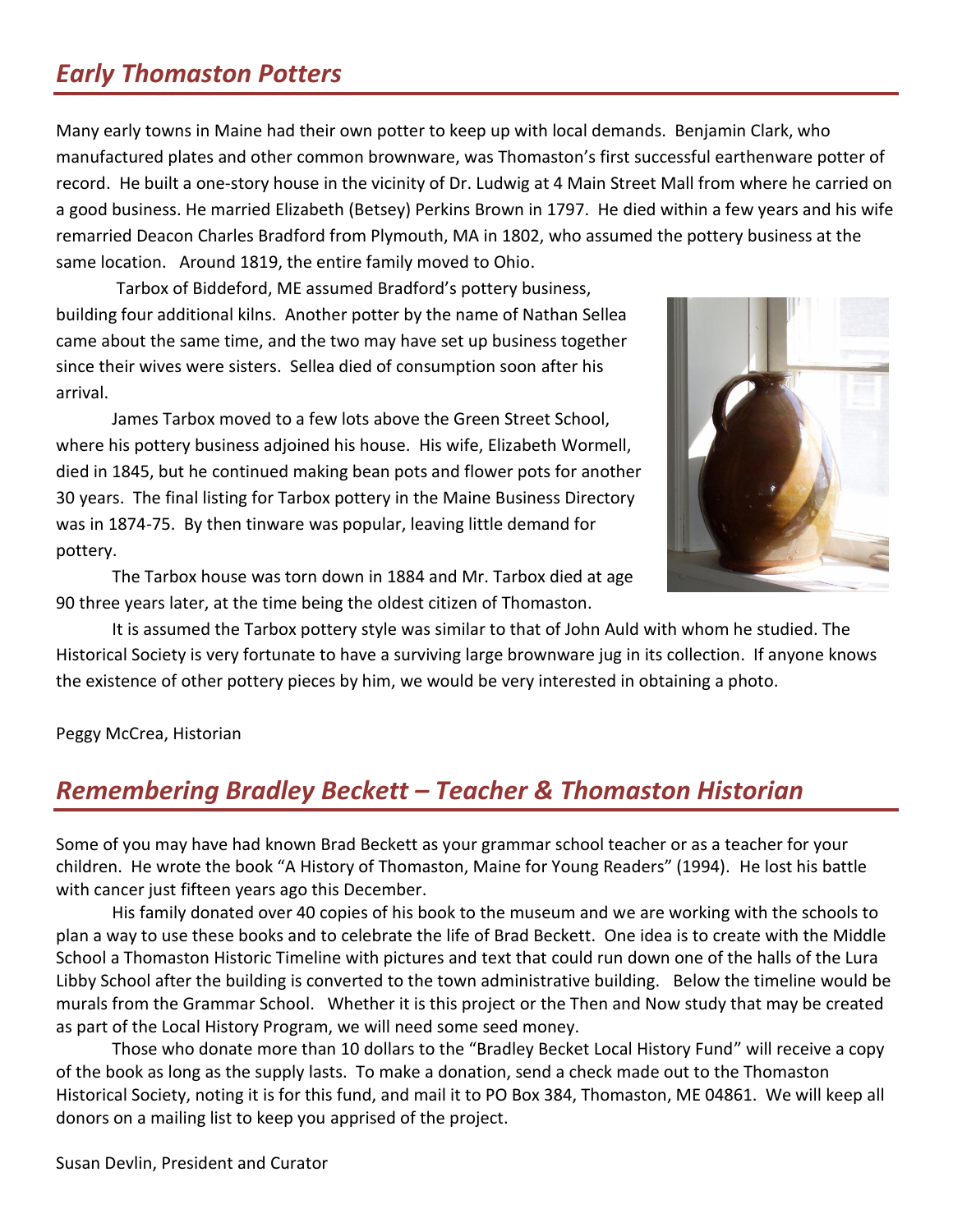## *Early Thomaston Potters*

Many early towns in Maine had their own potter to keep up with local demands. Benjamin Clark, who manufactured plates and other common brownware, was Thomaston's first successful earthenware potter of record. He built a one-story house in the vicinity of Dr. Ludwig at 4 Main Street Mall from where he carried on a good business. He married Elizabeth (Betsey) Perkins Brown in 1797. He died within a few years and his wife remarried Deacon Charles Bradford from Plymouth, MA in 1802, who assumed the pottery business at the same location. Around 1819, the entire family moved to Ohio.

Tarbox of Biddeford, ME assumed Bradford's pottery business, building four additional kilns. Another potter by the name of Nathan Sellea came about the same time, and the two may have set up business together since their wives were sisters. Sellea died of consumption soon after his arrival.

James Tarbox moved to a few lots above the Green Street School, where his pottery business adjoined his house. His wife, Elizabeth Wormell, died in 1845, but he continued making bean pots and flower pots for another 30 years. The final listing for Tarbox pottery in the Maine Business Directory was in 1874-75. By then tinware was popular, leaving little demand for pottery.

The Tarbox house was torn down in 1884 and Mr. Tarbox died at age 90 three years later, at the time being the oldest citizen of Thomaston.



It is assumed the Tarbox pottery style was similar to that of John Auld with whom he studied. The Historical Society is very fortunate to have a surviving large brownware jug in its collection. If anyone knows the existence of other pottery pieces by him, we would be very interested in obtaining a photo.

Peggy McCrea, Historian

## *Remembering Bradley Beckett – Teacher & Thomaston Historian*

Some of you may have had known Brad Beckett as your grammar school teacher or as a teacher for your children. He wrote the book "A History of Thomaston, Maine for Young Readers" (1994). He lost his battle with cancer just fifteen years ago this December.

His family donated over 40 copies of his book to the museum and we are working with the schools to plan a way to use these books and to celebrate the life of Brad Beckett. One idea is to create with the Middle School a Thomaston Historic Timeline with pictures and text that could run down one of the halls of the Lura Libby School after the building is converted to the town administrative building. Below the timeline would be murals from the Grammar School. Whether it is this project or the Then and Now study that may be created as part of the Local History Program, we will need some seed money.

Those who donate more than 10 dollars to the "Bradley Becket Local History Fund" will receive a copy of the book as long as the supply lasts. To make a donation, send a check made out to the Thomaston Historical Society, noting it is for this fund, and mail it to PO Box 384, Thomaston, ME 04861. We will keep all donors on a mailing list to keep you apprised of the project.

Susan Devlin, President and Curator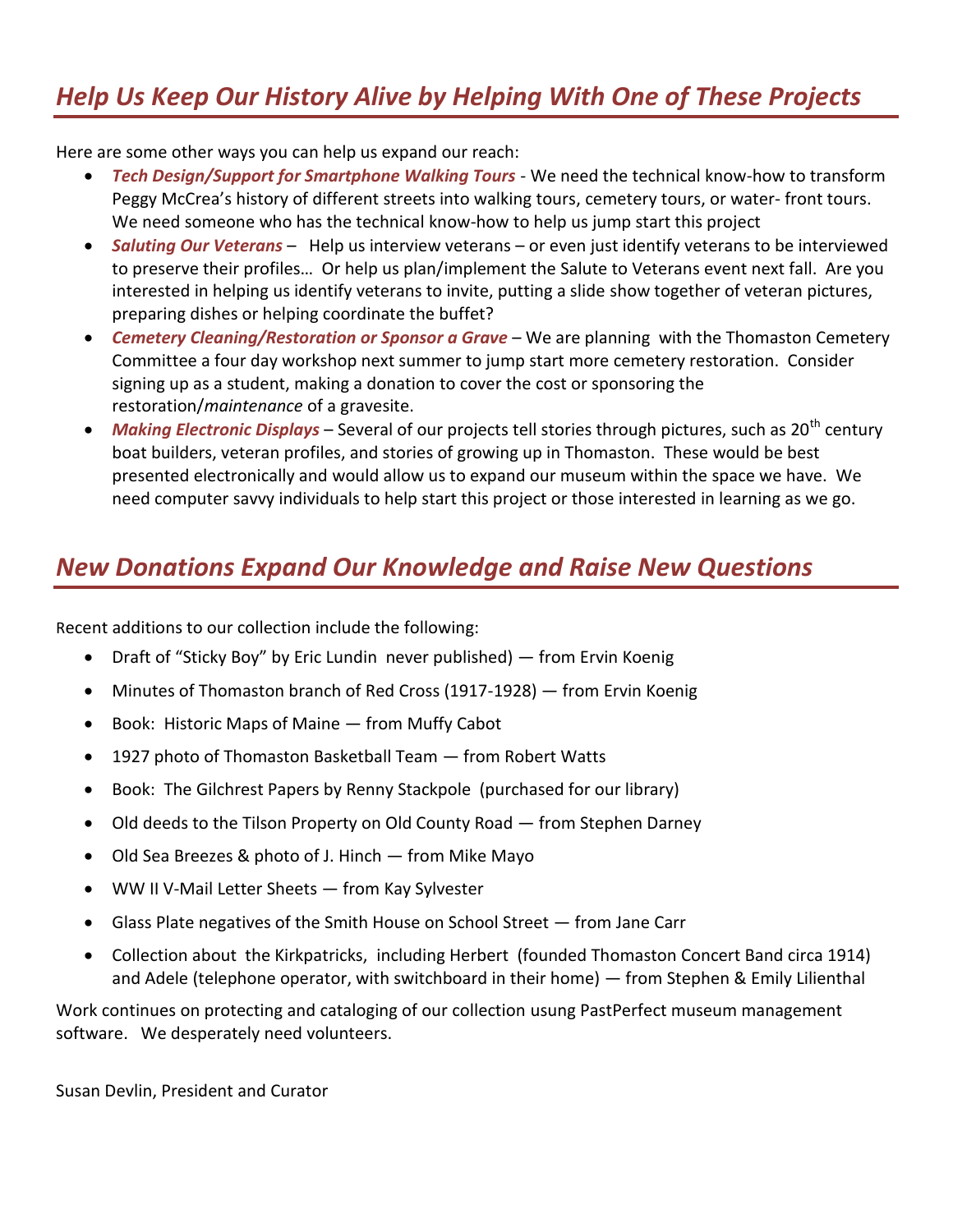# *Help Us Keep Our History Alive by Helping With One of These Projects*

Here are some other ways you can help us expand our reach:

- *Tech Design/Support for Smartphone Walking Tours* We need the technical know-how to transform Peggy McCrea's history of different streets into walking tours, cemetery tours, or water- front tours. We need someone who has the technical know-how to help us jump start this project
- *Saluting Our Veterans* Help us interview veterans or even just identify veterans to be interviewed to preserve their profiles… Or help us plan/implement the Salute to Veterans event next fall. Are you interested in helping us identify veterans to invite, putting a slide show together of veteran pictures, preparing dishes or helping coordinate the buffet?
- **•** Cemetery Cleaning/Restoration or Sponsor a Grave We are planning with the Thomaston Cemetery Committee a four day workshop next summer to jump start more cemetery restoration. Consider signing up as a student, making a donation to cover the cost or sponsoring the restoration/*maintenance* of a gravesite.
- Making Electronic Displays Several of our projects tell stories through pictures, such as 20<sup>th</sup> century boat builders, veteran profiles, and stories of growing up in Thomaston. These would be best presented electronically and would allow us to expand our museum within the space we have. We need computer savvy individuals to help start this project or those interested in learning as we go.

### *New Donations Expand Our Knowledge and Raise New Questions*

Recent additions to our collection include the following:

- Draft of "Sticky Boy" by Eric Lundin never published) from Ervin Koenig
- Minutes of Thomaston branch of Red Cross (1917-1928) from Ervin Koenig
- Book: Historic Maps of Maine from Muffy Cabot
- 1927 photo of Thomaston Basketball Team from Robert Watts
- Book: The Gilchrest Papers by Renny Stackpole (purchased for our library)
- Old deeds to the Tilson Property on Old County Road from Stephen Darney
- Old Sea Breezes & photo of J. Hinch from Mike Mayo
- WW II V-Mail Letter Sheets from Kay Sylvester
- Glass Plate negatives of the Smith House on School Street from Jane Carr
- Collection about the Kirkpatricks, including Herbert (founded Thomaston Concert Band circa 1914) and Adele (telephone operator, with switchboard in their home) — from Stephen & Emily Lilienthal

Work continues on protecting and cataloging of our collection usung PastPerfect museum management software. We desperately need volunteers.

Susan Devlin, President and Curator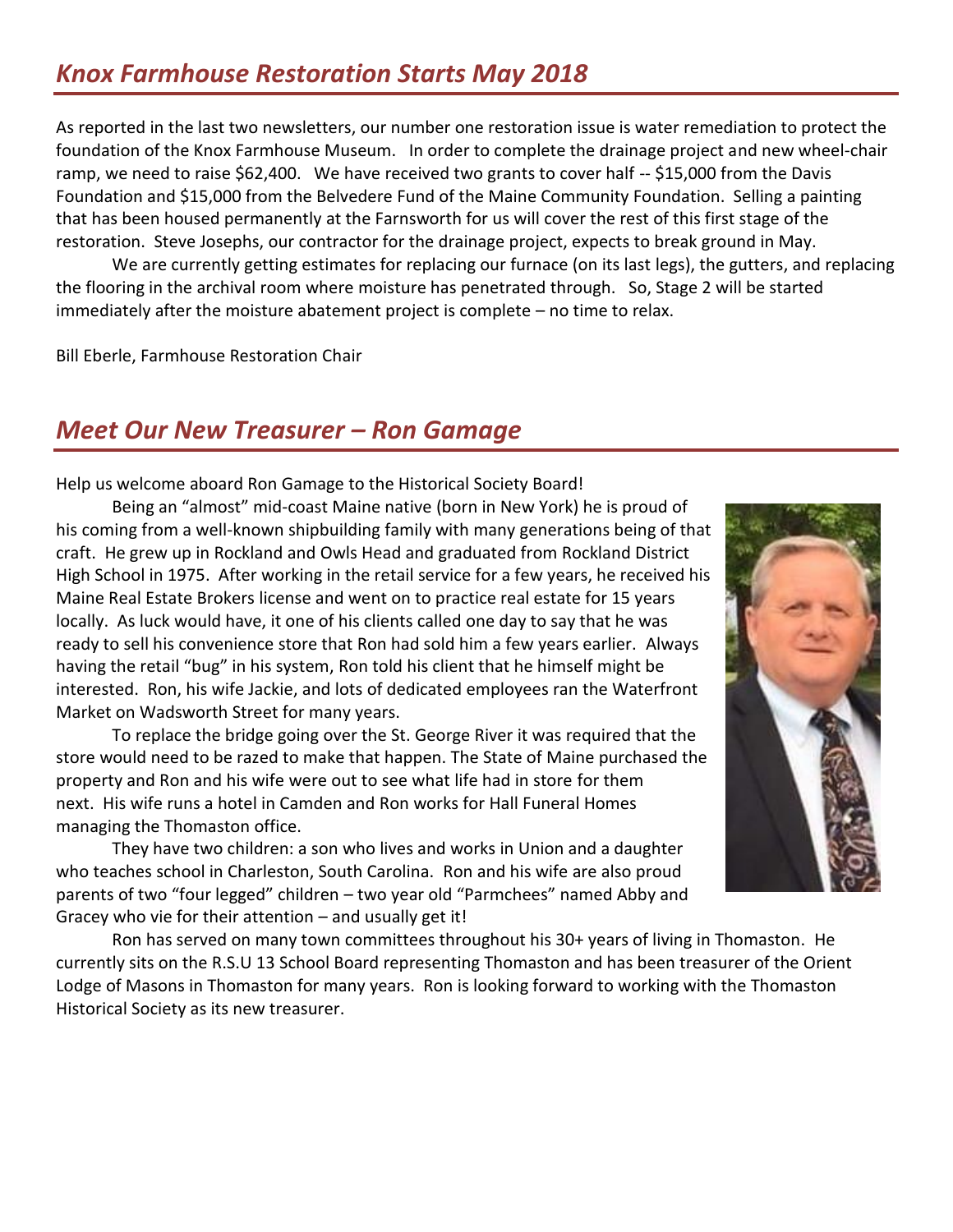## *Knox Farmhouse Restoration Starts May 2018*

As reported in the last two newsletters, our number one restoration issue is water remediation to protect the foundation of the Knox Farmhouse Museum. In order to complete the drainage project and new wheel-chair ramp, we need to raise \$62,400. We have received two grants to cover half -- \$15,000 from the Davis Foundation and \$15,000 from the Belvedere Fund of the Maine Community Foundation. Selling a painting that has been housed permanently at the Farnsworth for us will cover the rest of this first stage of the restoration. Steve Josephs, our contractor for the drainage project, expects to break ground in May.

We are currently getting estimates for replacing our furnace (on its last legs), the gutters, and replacing the flooring in the archival room where moisture has penetrated through. So, Stage 2 will be started immediately after the moisture abatement project is complete – no time to relax.

Bill Eberle, Farmhouse Restoration Chair

#### *Meet Our New Treasurer – Ron Gamage*

Help us welcome aboard Ron Gamage to the Historical Society Board!

Being an "almost" mid-coast Maine native (born in New York) he is proud of his coming from a well-known shipbuilding family with many generations being of that craft. He grew up in Rockland and Owls Head and graduated from Rockland District High School in 1975. After working in the retail service for a few years, he received his Maine Real Estate Brokers license and went on to practice real estate for 15 years locally. As luck would have, it one of his clients called one day to say that he was ready to sell his convenience store that Ron had sold him a few years earlier. Always having the retail "bug" in his system, Ron told his client that he himself might be interested. Ron, his wife Jackie, and lots of dedicated employees ran the Waterfront Market on Wadsworth Street for many years.

To replace the bridge going over the St. George River it was required that the store would need to be razed to make that happen. The State of Maine purchased the property and Ron and his wife were out to see what life had in store for them next. His wife runs a hotel in Camden and Ron works for Hall Funeral Homes managing the Thomaston office.

They have two children: a son who lives and works in Union and a daughter who teaches school in Charleston, South Carolina. Ron and his wife are also proud parents of two "four legged" children – two year old "Parmchees" named Abby and Gracey who vie for their attention – and usually get it!

Ron has served on many town committees throughout his 30+ years of living in Thomaston. He currently sits on the R.S.U 13 School Board representing Thomaston and has been treasurer of the Orient Lodge of Masons in Thomaston for many years. Ron is looking forward to working with the Thomaston Historical Society as its new treasurer.

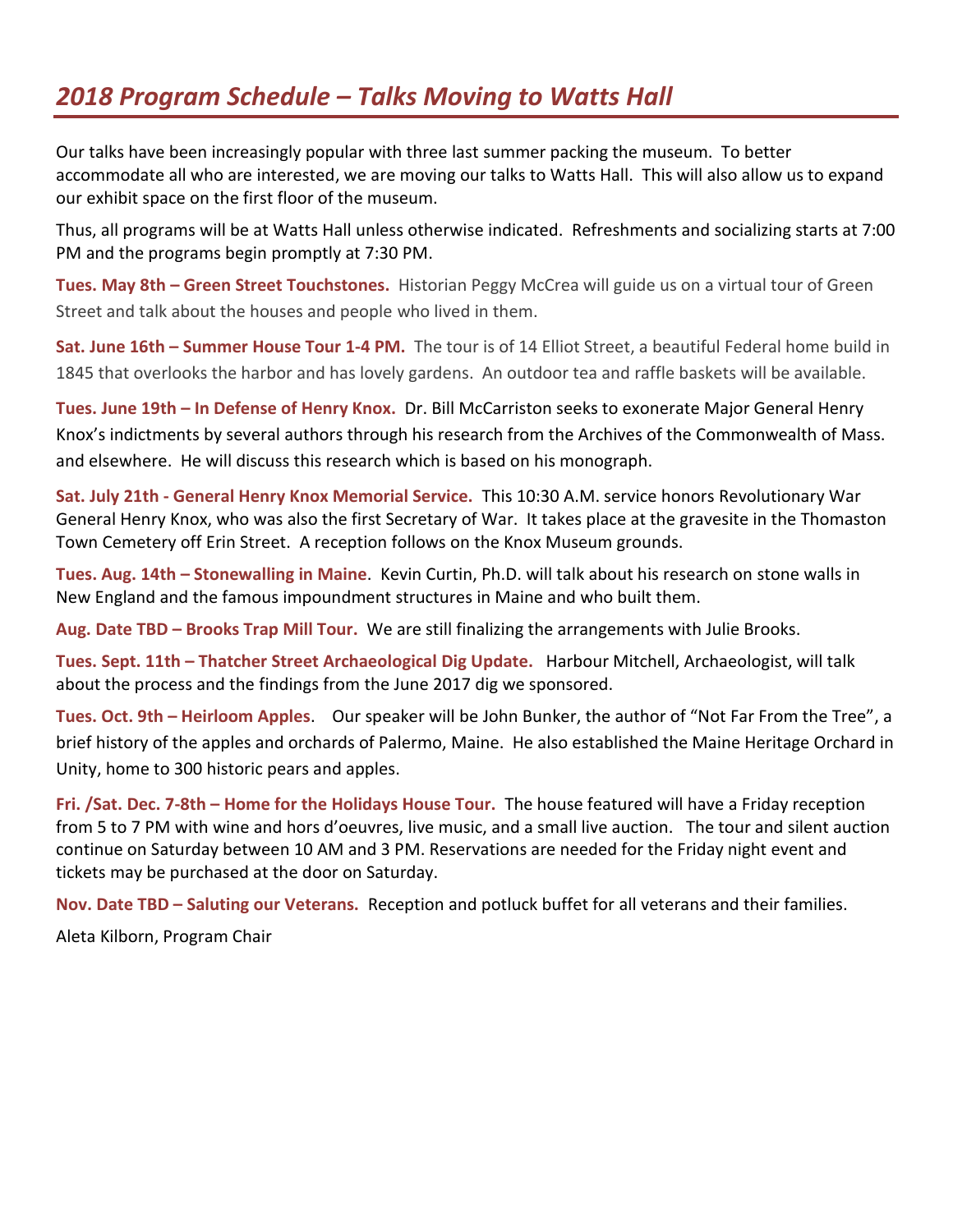## *2018 Program Schedule – Talks Moving to Watts Hall*

Our talks have been increasingly popular with three last summer packing the museum. To better accommodate all who are interested, we are moving our talks to Watts Hall. This will also allow us to expand our exhibit space on the first floor of the museum.

Thus, all programs will be at Watts Hall unless otherwise indicated. Refreshments and socializing starts at 7:00 PM and the programs begin promptly at 7:30 PM.

**Tues. May 8th – Green Street Touchstones.** Historian Peggy McCrea will guide us on a virtual tour of Green Street and talk about the houses and people who lived in them.

**Sat. June 16th – Summer House Tour 1-4 PM.** The tour is of 14 Elliot Street, a beautiful Federal home build in 1845 that overlooks the harbor and has lovely gardens. An outdoor tea and raffle baskets will be available.

**Tues. June 19th – In Defense of Henry Knox.** Dr. Bill McCarriston seeks to exonerate Major General Henry Knox's indictments by several authors through his research from the Archives of the Commonwealth of Mass. and elsewhere. He will discuss this research which is based on his monograph.

**Sat. July 21th - General Henry Knox Memorial Service.** This 10:30 A.M. service honors Revolutionary War General Henry Knox, who was also the first Secretary of War. It takes place at the gravesite in the Thomaston Town Cemetery off Erin Street. A reception follows on the Knox Museum grounds.

**Tues. Aug. 14th – Stonewalling in Maine**. Kevin Curtin, Ph.D. will talk about his research on stone walls in New England and the famous impoundment structures in Maine and who built them.

**Aug. Date TBD – Brooks Trap Mill Tour.** We are still finalizing the arrangements with Julie Brooks.

**Tues. Sept. 11th – Thatcher Street Archaeological Dig Update.** Harbour Mitchell, Archaeologist, will talk about the process and the findings from the June 2017 dig we sponsored.

**Tues. Oct. 9th – Heirloom Apples**. Our speaker will be John Bunker, the author of "Not Far From the Tree", a brief history of the apples and orchards of Palermo, Maine. He also established the Maine Heritage Orchard in Unity, home to 300 historic pears and apples.

**Fri. /Sat. Dec. 7-8th – Home for the Holidays House Tour.** The house featured will have a Friday reception from 5 to 7 PM with wine and hors d'oeuvres, live music, and a small live auction. The tour and silent auction continue on Saturday between 10 AM and 3 PM. Reservations are needed for the Friday night event and tickets may be purchased at the door on Saturday.

**Nov. Date TBD – Saluting our Veterans.** Reception and potluck buffet for all veterans and their families.

Aleta Kilborn, Program Chair